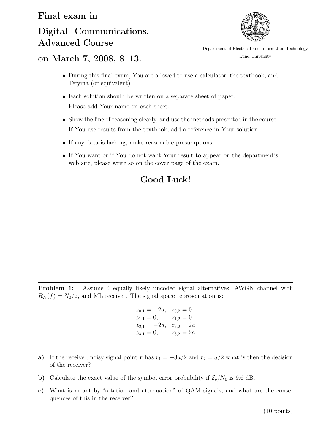## Digital Communications, Advanced Course



Department of Electrical and Information Technology Lund University

## on March 7, 2008, 8–13.

- During this final exam, You are allowed to use a calculator, the textbook, and Tefyma (or equivalent).
- Each solution should be written on a separate sheet of paper. Please add Your name on each sheet.
- Show the line of reasoning clearly, and use the methods presented in the course. If You use results from the textbook, add a reference in Your solution.
- If any data is lacking, make reasonable presumptions.
- If You want or if You do not want Your result to appear on the department's web site, please write so on the cover page of the exam.

## Good Luck!

Problem 1: Assume 4 equally likely uncoded signal alternatives, AWGN channel with  $R_N(f) = N_0/2$ , and ML receiver. The signal space representation is:

$$
z_{0,1} = -2a, \quad z_{0,2} = 0
$$
  
\n
$$
z_{1,1} = 0, \qquad z_{1,2} = 0
$$
  
\n
$$
z_{2,1} = -2a, \quad z_{2,2} = 2a
$$
  
\n
$$
z_{3,1} = 0, \qquad z_{3,2} = 2a
$$

- a) If the received noisy signal point *r* has  $r_1 = -3a/2$  and  $r_2 = a/2$  what is then the decision of the receiver?
- b) Calculate the exact value of the symbol error probability if  $\mathcal{E}_b/N_0$  is 9.6 dB.
- c) What is meant by "rotation and attenuation" of QAM signals, and what are the consequences of this in the receiver?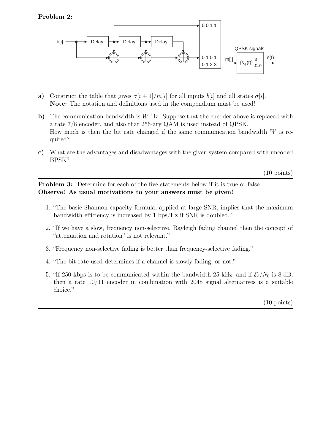

- a) Construct the table that gives  $\sigma[i+1]/m[i]$  for all inputs  $b[i]$  and all states  $\sigma[i]$ . Note: The notation and definitions used in the compendium must be used!
- b) The communication bandwidth is W Hz. Suppose that the encoder above is replaced with a rate 7/8 encoder, and also that 256-ary QAM is used instead of QPSK. How much is then the bit rate changed if the same communication bandwidth  $W$  is required?
- c) What are the advantages and disadvantages with the given system compared with uncoded BPSK?

(10 points)

Problem 3: Determine for each of the five statements below if it is true or false. Observe! As usual motivations to your answers must be given!

- 1. "The basic Shannon capacity formula, applied at large SNR, implies that the maximum bandwidth efficiency is increased by 1 bps/Hz if SNR is doubled."
- 2. "If we have a slow, frequency non-selective, Rayleigh fading channel then the concept of "attenuation and rotation" is not relevant."
- 3. "Frequency non-selective fading is better than frequency-selective fading."
- 4. "The bit rate used determines if a channel is slowly fading, or not."
- 5. "If 250 kbps is to be communicated within the bandwidth 25 kHz, and if  $\mathcal{E}_b/N_0$  is 8 dB, then a rate 10/11 encoder in combination with 2048 signal alternatives is a suitable choice."

(10 points)